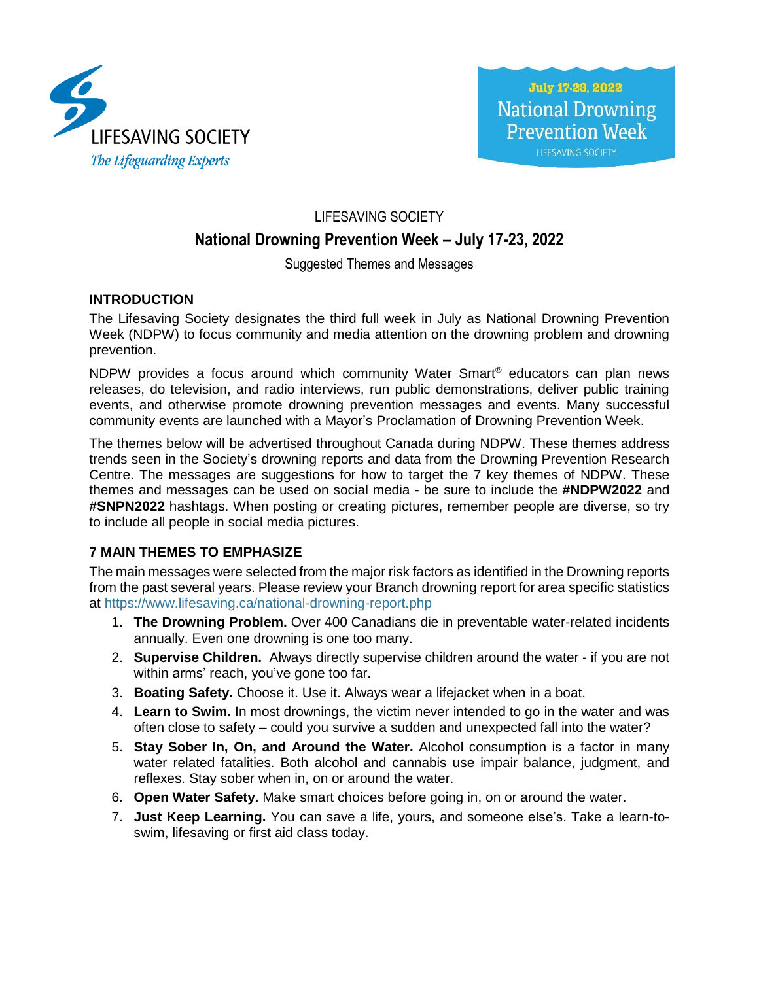

# LIFESAVING SOCIETY **National Drowning Prevention Week – July 17-23, 2022**

#### Suggested Themes and Messages

#### **INTRODUCTION**

The Lifesaving Society designates the third full week in July as National Drowning Prevention Week (NDPW) to focus community and media attention on the drowning problem and drowning prevention.

NDPW provides a focus around which community Water Smart® educators can plan news releases, do television, and radio interviews, run public demonstrations, deliver public training events, and otherwise promote drowning prevention messages and events. Many successful community events are launched with a Mayor's Proclamation of Drowning Prevention Week.

The themes below will be advertised throughout Canada during NDPW. These themes address trends seen in the Society's drowning reports and data from the Drowning Prevention Research Centre. The messages are suggestions for how to target the 7 key themes of NDPW. These themes and messages can be used on social media - be sure to include the **#NDPW2022** and **#SNPN2022** hashtags. When posting or creating pictures, remember people are diverse, so try to include all people in social media pictures.

#### **7 MAIN THEMES TO EMPHASIZE**

The main messages were selected from the major risk factors as identified in the Drowning reports from the past several years. Please review your Branch drowning report for area specific statistics at <https://www.lifesaving.ca/national-drowning-report.php>

- 1. **The Drowning Problem.** Over 400 Canadians die in preventable water-related incidents annually. Even one drowning is one too many.
- 2. **Supervise Children.** Always directly supervise children around the water if you are not within arms' reach, you've gone too far.
- 3. **Boating Safety.** Choose it. Use it. Always wear a lifejacket when in a boat.
- 4. **Learn to Swim.** In most drownings, the victim never intended to go in the water and was often close to safety – could you survive a sudden and unexpected fall into the water?
- 5. **Stay Sober In, On, and Around the Water.** Alcohol consumption is a factor in many water related fatalities. Both alcohol and cannabis use impair balance, judgment, and reflexes. Stay sober when in, on or around the water.
- 6. **Open Water Safety.** Make smart choices before going in, on or around the water.
- 7. **Just Keep Learning.** You can save a life, yours, and someone else's. Take a learn-toswim, lifesaving or first aid class today.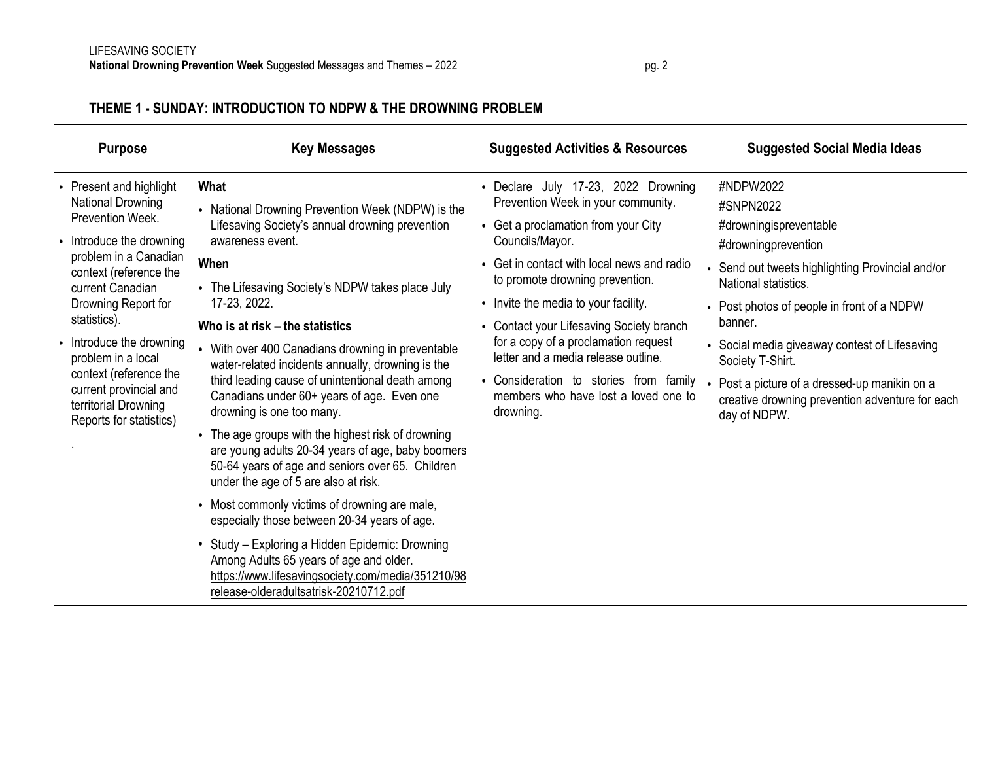# **THEME 1 - SUNDAY: INTRODUCTION TO NDPW & THE DROWNING PROBLEM**

| <b>Purpose</b>                                                                                                                                                                                                                                                                                                                                                | <b>Key Messages</b>                                                                                                                                                                                                                                                                                                                                                                                                                                                                                                                                                                                                                                                                                                                                                                                                                                                                                                                                                                         | <b>Suggested Activities &amp; Resources</b>                                                                                                                                                                                                                                                                                                                                                                                                                                            | <b>Suggested Social Media Ideas</b>                                                                                                                                                                                                                                                                                                                                                           |
|---------------------------------------------------------------------------------------------------------------------------------------------------------------------------------------------------------------------------------------------------------------------------------------------------------------------------------------------------------------|---------------------------------------------------------------------------------------------------------------------------------------------------------------------------------------------------------------------------------------------------------------------------------------------------------------------------------------------------------------------------------------------------------------------------------------------------------------------------------------------------------------------------------------------------------------------------------------------------------------------------------------------------------------------------------------------------------------------------------------------------------------------------------------------------------------------------------------------------------------------------------------------------------------------------------------------------------------------------------------------|----------------------------------------------------------------------------------------------------------------------------------------------------------------------------------------------------------------------------------------------------------------------------------------------------------------------------------------------------------------------------------------------------------------------------------------------------------------------------------------|-----------------------------------------------------------------------------------------------------------------------------------------------------------------------------------------------------------------------------------------------------------------------------------------------------------------------------------------------------------------------------------------------|
| Present and highlight<br>National Drowning<br>Prevention Week.<br>Introduce the drowning<br>problem in a Canadian<br>context (reference the<br>current Canadian<br>Drowning Report for<br>statistics).<br>Introduce the drowning<br>problem in a local<br>context (reference the<br>current provincial and<br>territorial Drowning<br>Reports for statistics) | What<br>• National Drowning Prevention Week (NDPW) is the<br>Lifesaving Society's annual drowning prevention<br>awareness event.<br>When<br>• The Lifesaving Society's NDPW takes place July<br>17-23, 2022.<br>Who is at risk – the statistics<br>• With over 400 Canadians drowning in preventable<br>water-related incidents annually, drowning is the<br>third leading cause of unintentional death among<br>Canadians under 60+ years of age. Even one<br>drowning is one too many.<br>• The age groups with the highest risk of drowning<br>are young adults 20-34 years of age, baby boomers<br>50-64 years of age and seniors over 65. Children<br>under the age of 5 are also at risk.<br>• Most commonly victims of drowning are male,<br>especially those between 20-34 years of age.<br>Study - Exploring a Hidden Epidemic: Drowning<br>Among Adults 65 years of age and older.<br>https://www.lifesavingsociety.com/media/351210/98<br>release-olderadultsatrisk-20210712.pdf | • Declare July 17-23, 2022 Drowning<br>Prevention Week in your community.<br>• Get a proclamation from your City<br>Councils/Mayor.<br>• Get in contact with local news and radio<br>to promote drowning prevention.<br>• Invite the media to your facility.<br>• Contact your Lifesaving Society branch<br>for a copy of a proclamation request<br>letter and a media release outline.<br>• Consideration to stories from family<br>members who have lost a loved one to<br>drowning. | #NDPW2022<br>#SNPN2022<br>#drowningispreventable<br>#drowningprevention<br>Send out tweets highlighting Provincial and/or<br>National statistics.<br>Post photos of people in front of a NDPW<br>banner.<br>Social media giveaway contest of Lifesaving<br>Society T-Shirt.<br>Post a picture of a dressed-up manikin on a<br>creative drowning prevention adventure for each<br>day of NDPW. |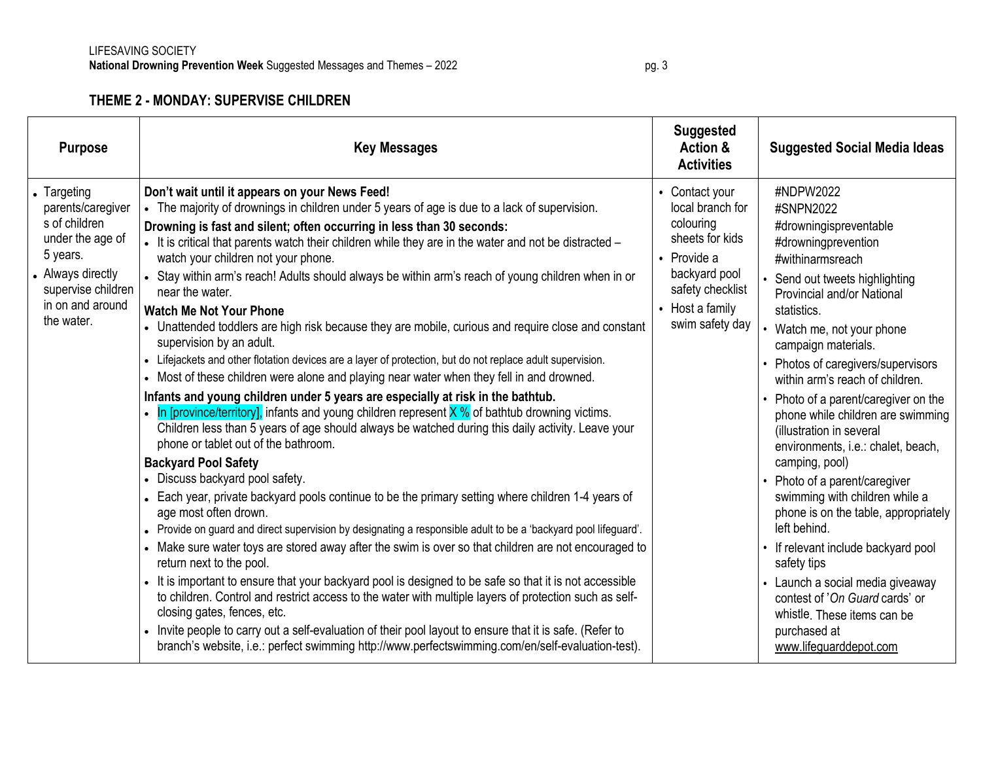# **THEME 2 - MONDAY: SUPERVISE CHILDREN**

| <b>Purpose</b>                                                                                                                                                 | <b>Key Messages</b>                                                                                                                                                                                                                                                                                                                                                                                                                                                                                                                                                                                                                                                                                                                                                                                                                                                                                                                                                                                                                                                                                                                                                                                                                                                                                                                                                                                                                                                                                                                                                                                                                                                                                                                                                                                                                                                                                                                                                                                                                                                                                                                                 | <b>Suggested</b><br>Action &<br><b>Activities</b>                                                                                                            | <b>Suggested Social Media Ideas</b>                                                                                                                                                                                                                                                                                                                                                                                                                                                                                                                                                                                                                                                                                                                                                             |
|----------------------------------------------------------------------------------------------------------------------------------------------------------------|-----------------------------------------------------------------------------------------------------------------------------------------------------------------------------------------------------------------------------------------------------------------------------------------------------------------------------------------------------------------------------------------------------------------------------------------------------------------------------------------------------------------------------------------------------------------------------------------------------------------------------------------------------------------------------------------------------------------------------------------------------------------------------------------------------------------------------------------------------------------------------------------------------------------------------------------------------------------------------------------------------------------------------------------------------------------------------------------------------------------------------------------------------------------------------------------------------------------------------------------------------------------------------------------------------------------------------------------------------------------------------------------------------------------------------------------------------------------------------------------------------------------------------------------------------------------------------------------------------------------------------------------------------------------------------------------------------------------------------------------------------------------------------------------------------------------------------------------------------------------------------------------------------------------------------------------------------------------------------------------------------------------------------------------------------------------------------------------------------------------------------------------------------|--------------------------------------------------------------------------------------------------------------------------------------------------------------|-------------------------------------------------------------------------------------------------------------------------------------------------------------------------------------------------------------------------------------------------------------------------------------------------------------------------------------------------------------------------------------------------------------------------------------------------------------------------------------------------------------------------------------------------------------------------------------------------------------------------------------------------------------------------------------------------------------------------------------------------------------------------------------------------|
| • Targeting<br>parents/caregiver<br>s of children<br>under the age of<br>5 years.<br>• Always directly<br>supervise children<br>in on and around<br>the water. | Don't wait until it appears on your News Feed!<br>• The majority of drownings in children under 5 years of age is due to a lack of supervision.<br>Drowning is fast and silent; often occurring in less than 30 seconds:<br>- It is critical that parents watch their children while they are in the water and not be distracted -<br>watch your children not your phone.<br>• Stay within arm's reach! Adults should always be within arm's reach of young children when in or<br>near the water.<br><b>Watch Me Not Your Phone</b><br>• Unattended toddlers are high risk because they are mobile, curious and require close and constant<br>supervision by an adult.<br>- Lifejackets and other flotation devices are a layer of protection, but do not replace adult supervision.<br>• Most of these children were alone and playing near water when they fell in and drowned.<br>Infants and young children under 5 years are especially at risk in the bathtub.<br>• In [province/territory], infants and young children represent $X$ % of bathtub drowning victims.<br>Children less than 5 years of age should always be watched during this daily activity. Leave your<br>phone or tablet out of the bathroom.<br><b>Backyard Pool Safety</b><br>• Discuss backyard pool safety.<br>• Each year, private backyard pools continue to be the primary setting where children 1-4 years of<br>age most often drown.<br>• Provide on guard and direct supervision by designating a responsible adult to be a 'backyard pool lifeguard'.<br>• Make sure water toys are stored away after the swim is over so that children are not encouraged to<br>return next to the pool.<br>It is important to ensure that your backyard pool is designed to be safe so that it is not accessible<br>to children. Control and restrict access to the water with multiple layers of protection such as self-<br>closing gates, fences, etc.<br>• Invite people to carry out a self-evaluation of their pool layout to ensure that it is safe. (Refer to<br>branch's website, i.e.: perfect swimming http://www.perfectswimming.com/en/self-evaluation-test). | • Contact your<br>local branch for<br>colouring<br>sheets for kids<br>• Provide a<br>backyard pool<br>safety checklist<br>• Host a family<br>swim safety day | #NDPW2022<br>#SNPN2022<br>#drowningispreventable<br>#drowningprevention<br>#withinarmsreach<br>Send out tweets highlighting<br>Provincial and/or National<br>statistics.<br>Watch me, not your phone<br>campaign materials.<br>Photos of caregivers/supervisors<br>within arm's reach of children.<br>Photo of a parent/caregiver on the<br>phone while children are swimming<br>(illustration in several<br>environments, i.e.: chalet, beach,<br>camping, pool)<br>Photo of a parent/caregiver<br>swimming with children while a<br>phone is on the table, appropriately<br>left behind.<br>• If relevant include backyard pool<br>safety tips<br>• Launch a social media giveaway<br>contest of 'On Guard cards' or<br>whistle. These items can be<br>purchased at<br>www.lifeguarddepot.com |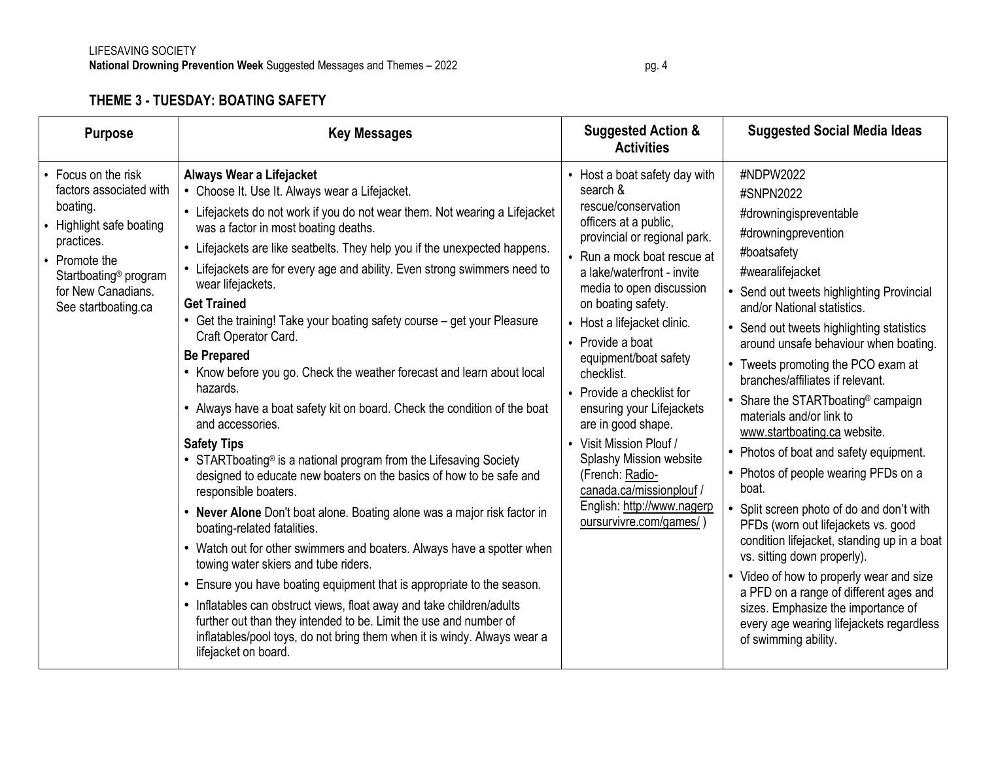# **THEME 3 - TUESDAY: BOATING SAFETY**

| <b>Purpose</b>                                                                                                                                                                                          | <b>Key Messages</b>                                                                                                                                                                                                                                                                                                                                                                                                                                                                                                                                                                                                                                                                                                                                                                                                                                                                                                                                                                                                                                                                                                                                                                                                                                                                                                                                                                                                                                                                    | <b>Suggested Action &amp;</b><br><b>Activities</b>                                                                                                                                                                                                                                                                                                                                                                                                                                                                                                                    | <b>Suggested Social Media Ideas</b>                                                                                                                                                                                                                                                                                                                                                                                                                                                                                                                                                                                                                                                                                                                                                                                                                                                                                               |
|---------------------------------------------------------------------------------------------------------------------------------------------------------------------------------------------------------|----------------------------------------------------------------------------------------------------------------------------------------------------------------------------------------------------------------------------------------------------------------------------------------------------------------------------------------------------------------------------------------------------------------------------------------------------------------------------------------------------------------------------------------------------------------------------------------------------------------------------------------------------------------------------------------------------------------------------------------------------------------------------------------------------------------------------------------------------------------------------------------------------------------------------------------------------------------------------------------------------------------------------------------------------------------------------------------------------------------------------------------------------------------------------------------------------------------------------------------------------------------------------------------------------------------------------------------------------------------------------------------------------------------------------------------------------------------------------------------|-----------------------------------------------------------------------------------------------------------------------------------------------------------------------------------------------------------------------------------------------------------------------------------------------------------------------------------------------------------------------------------------------------------------------------------------------------------------------------------------------------------------------------------------------------------------------|-----------------------------------------------------------------------------------------------------------------------------------------------------------------------------------------------------------------------------------------------------------------------------------------------------------------------------------------------------------------------------------------------------------------------------------------------------------------------------------------------------------------------------------------------------------------------------------------------------------------------------------------------------------------------------------------------------------------------------------------------------------------------------------------------------------------------------------------------------------------------------------------------------------------------------------|
| • Focus on the risk<br>factors associated with<br>boating.<br>• Highlight safe boating<br>practices.<br>• Promote the<br>Startboating <sup>®</sup> program<br>for New Canadians.<br>See startboating.ca | Always Wear a Lifejacket<br>• Choose It. Use It. Always wear a Lifejacket.<br>• Lifejackets do not work if you do not wear them. Not wearing a Lifejacket<br>was a factor in most boating deaths.<br>• Lifejackets are like seatbelts. They help you if the unexpected happens.<br>• Lifejackets are for every age and ability. Even strong swimmers need to<br>wear lifejackets.<br><b>Get Trained</b><br>• Get the training! Take your boating safety course - get your Pleasure<br>Craft Operator Card.<br><b>Be Prepared</b><br>• Know before you go. Check the weather forecast and learn about local<br>hazards.<br>• Always have a boat safety kit on board. Check the condition of the boat<br>and accessories.<br><b>Safety Tips</b><br>• STARTboating <sup>®</sup> is a national program from the Lifesaving Society<br>designed to educate new boaters on the basics of how to be safe and<br>responsible boaters.<br>• Never Alone Don't boat alone. Boating alone was a major risk factor in<br>boating-related fatalities.<br>• Watch out for other swimmers and boaters. Always have a spotter when<br>towing water skiers and tube riders.<br>• Ensure you have boating equipment that is appropriate to the season.<br>• Inflatables can obstruct views, float away and take children/adults<br>further out than they intended to be. Limit the use and number of<br>inflatables/pool toys, do not bring them when it is windy. Always wear a<br>lifejacket on board. | Host a boat safety day with<br>search &<br>rescue/conservation<br>officers at a public,<br>provincial or regional park.<br>Run a mock boat rescue at<br>a lake/waterfront - invite<br>media to open discussion<br>on boating safety.<br>Host a lifejacket clinic.<br>Provide a boat<br>equipment/boat safety<br>checklist.<br>Provide a checklist for<br>ensuring your Lifejackets<br>are in good shape.<br>• Visit Mission Plouf /<br>Splashy Mission website<br>(French: Radio-<br>canada.ca/missionplouf /<br>English: http://www.nagerp<br>oursurvivre.com/games/ | #NDPW2022<br>#SNPN2022<br>#drowningispreventable<br>#drowningprevention<br>#boatsafety<br>#wearalifejacket<br>• Send out tweets highlighting Provincial<br>and/or National statistics.<br>• Send out tweets highlighting statistics<br>around unsafe behaviour when boating.<br>• Tweets promoting the PCO exam at<br>branches/affiliates if relevant.<br>• Share the STARTboating <sup>®</sup> campaign<br>materials and/or link to<br>www.startboating.ca website.<br>• Photos of boat and safety equipment.<br>• Photos of people wearing PFDs on a<br>boat.<br>• Split screen photo of do and don't with<br>PFDs (worn out lifejackets vs. good<br>condition lifejacket, standing up in a boat<br>vs. sitting down properly).<br>• Video of how to properly wear and size<br>a PFD on a range of different ages and<br>sizes. Emphasize the importance of<br>every age wearing lifejackets regardless<br>of swimming ability. |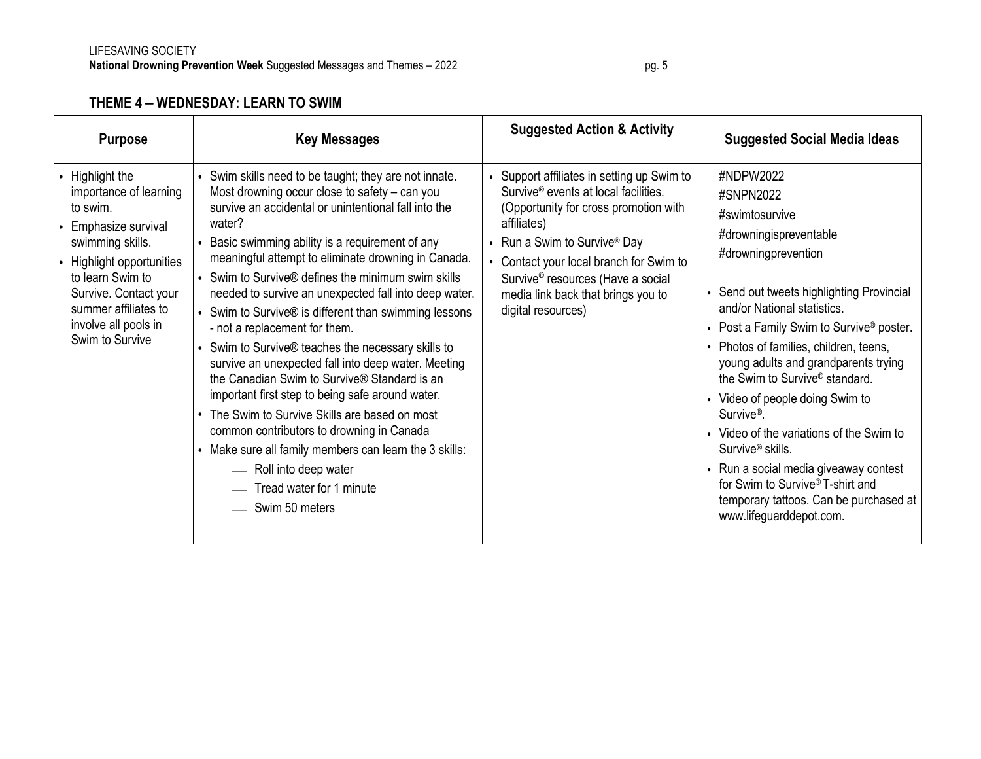# **THEME 4** – **WEDNESDAY: LEARN TO SWIM**

| <b>Purpose</b>                                                                                                                                                                                                                             | <b>Key Messages</b>                                                                                                                                                                                                                                                                                                                                                                                                                                                                                                                                                                                                                                                                                                                                                                                                                                                                                                                            | <b>Suggested Action &amp; Activity</b>                                                                                                                                                                                                                                                                                                       | <b>Suggested Social Media Ideas</b>                                                                                                                                                                                                                                                                                                                                                                                                                                                                                                                                                                                                          |
|--------------------------------------------------------------------------------------------------------------------------------------------------------------------------------------------------------------------------------------------|------------------------------------------------------------------------------------------------------------------------------------------------------------------------------------------------------------------------------------------------------------------------------------------------------------------------------------------------------------------------------------------------------------------------------------------------------------------------------------------------------------------------------------------------------------------------------------------------------------------------------------------------------------------------------------------------------------------------------------------------------------------------------------------------------------------------------------------------------------------------------------------------------------------------------------------------|----------------------------------------------------------------------------------------------------------------------------------------------------------------------------------------------------------------------------------------------------------------------------------------------------------------------------------------------|----------------------------------------------------------------------------------------------------------------------------------------------------------------------------------------------------------------------------------------------------------------------------------------------------------------------------------------------------------------------------------------------------------------------------------------------------------------------------------------------------------------------------------------------------------------------------------------------------------------------------------------------|
| • Highlight the<br>importance of learning<br>to swim.<br>Emphasize survival<br>swimming skills.<br>Highlight opportunities<br>to learn Swim to<br>Survive. Contact your<br>summer affiliates to<br>involve all pools in<br>Swim to Survive | • Swim skills need to be taught; they are not innate.<br>Most drowning occur close to safety – can you<br>survive an accidental or unintentional fall into the<br>water?<br>• Basic swimming ability is a requirement of any<br>meaningful attempt to eliminate drowning in Canada.<br>• Swim to Survive® defines the minimum swim skills<br>needed to survive an unexpected fall into deep water.<br>• Swim to Survive® is different than swimming lessons<br>- not a replacement for them.<br>• Swim to Survive® teaches the necessary skills to<br>survive an unexpected fall into deep water. Meeting<br>the Canadian Swim to Survive® Standard is an<br>important first step to being safe around water.<br>• The Swim to Survive Skills are based on most<br>common contributors to drowning in Canada<br>• Make sure all family members can learn the 3 skills:<br>- Roll into deep water<br>Tread water for 1 minute<br>Swim 50 meters | • Support affiliates in setting up Swim to<br>Survive <sup>®</sup> events at local facilities.<br>(Opportunity for cross promotion with<br>affiliates)<br>• Run a Swim to Survive® Day<br>Contact your local branch for Swim to<br>Survive <sup>®</sup> resources (Have a social<br>media link back that brings you to<br>digital resources) | #NDPW2022<br>#SNPN2022<br>#swimtosurvive<br>#drowningispreventable<br>#drowningprevention<br>Send out tweets highlighting Provincial<br>and/or National statistics.<br>Post a Family Swim to Survive <sup>®</sup> poster.<br>Photos of families, children, teens,<br>young adults and grandparents trying<br>the Swim to Survive <sup>®</sup> standard.<br>Video of people doing Swim to<br>Survive <sup>®</sup> .<br>Video of the variations of the Swim to<br>Survive <sup>®</sup> skills.<br>Run a social media giveaway contest<br>for Swim to Survive® T-shirt and<br>temporary tattoos. Can be purchased at<br>www.lifeguarddepot.com. |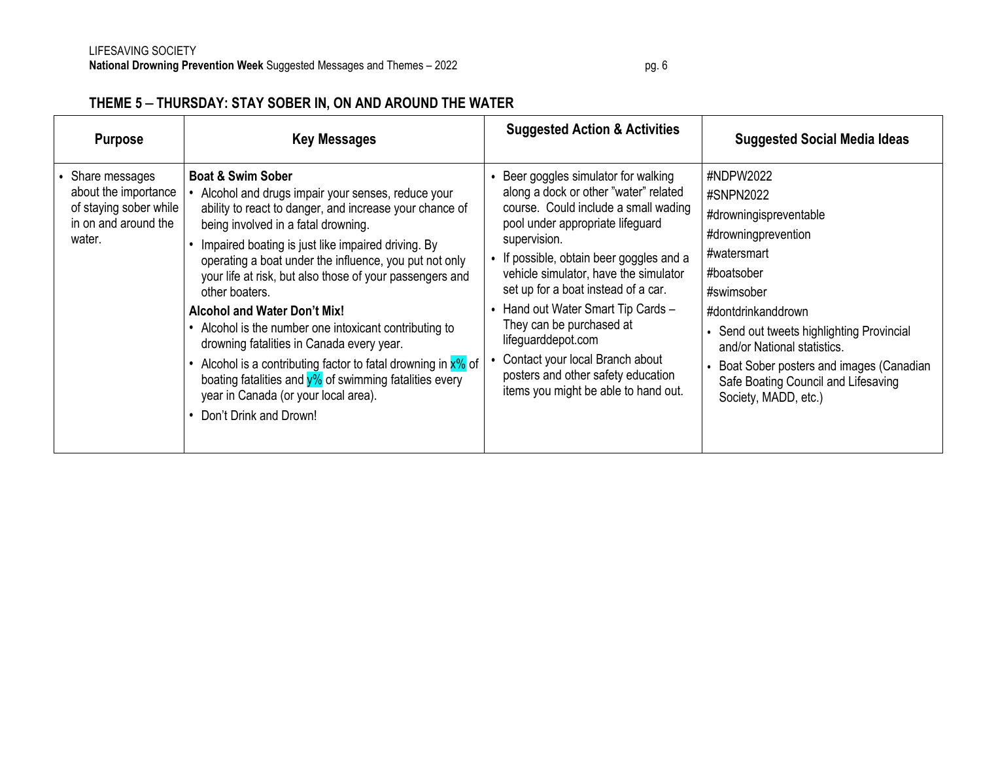### **THEME 5** – **THURSDAY: STAY SOBER IN, ON AND AROUND THE WATER**

| <b>Purpose</b>                                                                                     | <b>Key Messages</b>                                                                                                                                                                                                                                                                                                                                                                                                                                                                                                                                                                                                                                                                                                              | <b>Suggested Action &amp; Activities</b>                                                                                                                                                                                                                                                                                                                                                                                                                                                                     | <b>Suggested Social Media Ideas</b>                                                                                                                                                                                                                                                                                            |
|----------------------------------------------------------------------------------------------------|----------------------------------------------------------------------------------------------------------------------------------------------------------------------------------------------------------------------------------------------------------------------------------------------------------------------------------------------------------------------------------------------------------------------------------------------------------------------------------------------------------------------------------------------------------------------------------------------------------------------------------------------------------------------------------------------------------------------------------|--------------------------------------------------------------------------------------------------------------------------------------------------------------------------------------------------------------------------------------------------------------------------------------------------------------------------------------------------------------------------------------------------------------------------------------------------------------------------------------------------------------|--------------------------------------------------------------------------------------------------------------------------------------------------------------------------------------------------------------------------------------------------------------------------------------------------------------------------------|
| Share messages<br>about the importance<br>of staying sober while<br>in on and around the<br>water. | <b>Boat &amp; Swim Sober</b><br>Alcohol and drugs impair your senses, reduce your<br>ability to react to danger, and increase your chance of<br>being involved in a fatal drowning.<br>Impaired boating is just like impaired driving. By<br>operating a boat under the influence, you put not only<br>your life at risk, but also those of your passengers and<br>other boaters.<br><b>Alcohol and Water Don't Mix!</b><br>Alcohol is the number one intoxicant contributing to<br>drowning fatalities in Canada every year.<br>Alcohol is a contributing factor to fatal drowning in $x\%$ of<br>boating fatalities and $y\%$ of swimming fatalities every<br>year in Canada (or your local area).<br>• Don't Drink and Drown! | Beer goggles simulator for walking<br>along a dock or other "water" related<br>course. Could include a small wading<br>pool under appropriate lifeguard<br>supervision.<br>• If possible, obtain beer goggles and a<br>vehicle simulator, have the simulator<br>set up for a boat instead of a car.<br>• Hand out Water Smart Tip Cards -<br>They can be purchased at<br>lifeguarddepot.com<br>Contact your local Branch about<br>posters and other safety education<br>items you might be able to hand out. | #NDPW2022<br>#SNPN2022<br>#drowningispreventable<br>#drowningprevention<br>#watersmart<br>#boatsober<br>#swimsober<br>#dontdrinkanddrown<br>• Send out tweets highlighting Provincial<br>and/or National statistics.<br>Boat Sober posters and images (Canadian<br>Safe Boating Council and Lifesaving<br>Society, MADD, etc.) |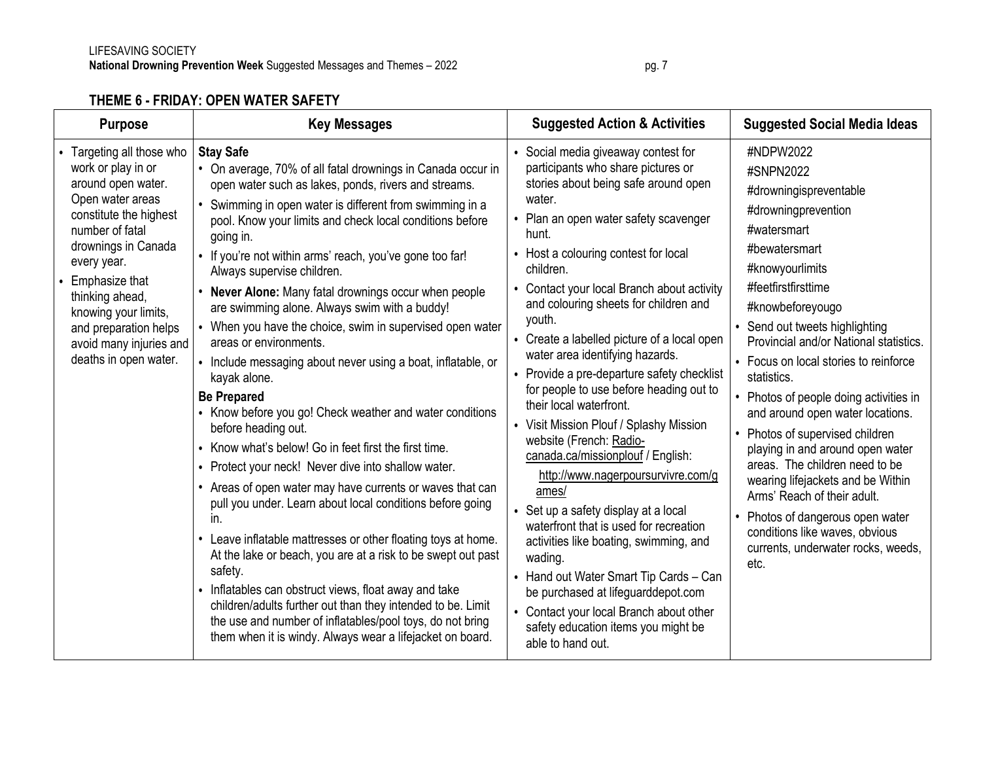### **THEME 6 - FRIDAY: OPEN WATER SAFETY**

| <b>Purpose</b>                                                                                                                                                                                                                                                                                                         | <b>Key Messages</b>                                                                                                                                                                                                                                                                                                                                                                                                                                                                                                                                                                                                                                                                                                                                                                                                                                                                                                                                                                                                                                                                                                                                                                                                                                                                                                                                                                                                                          | <b>Suggested Action &amp; Activities</b>                                                                                                                                                                                                                                                                                                                                                                                                                                                                                                                                                                                                                                                                                                                                                                                                                                                                                                                                                                                        | <b>Suggested Social Media Ideas</b>                                                                                                                                                                                                                                                                                                                                                                                                                                                                                                                                                                                                                                                      |
|------------------------------------------------------------------------------------------------------------------------------------------------------------------------------------------------------------------------------------------------------------------------------------------------------------------------|----------------------------------------------------------------------------------------------------------------------------------------------------------------------------------------------------------------------------------------------------------------------------------------------------------------------------------------------------------------------------------------------------------------------------------------------------------------------------------------------------------------------------------------------------------------------------------------------------------------------------------------------------------------------------------------------------------------------------------------------------------------------------------------------------------------------------------------------------------------------------------------------------------------------------------------------------------------------------------------------------------------------------------------------------------------------------------------------------------------------------------------------------------------------------------------------------------------------------------------------------------------------------------------------------------------------------------------------------------------------------------------------------------------------------------------------|---------------------------------------------------------------------------------------------------------------------------------------------------------------------------------------------------------------------------------------------------------------------------------------------------------------------------------------------------------------------------------------------------------------------------------------------------------------------------------------------------------------------------------------------------------------------------------------------------------------------------------------------------------------------------------------------------------------------------------------------------------------------------------------------------------------------------------------------------------------------------------------------------------------------------------------------------------------------------------------------------------------------------------|------------------------------------------------------------------------------------------------------------------------------------------------------------------------------------------------------------------------------------------------------------------------------------------------------------------------------------------------------------------------------------------------------------------------------------------------------------------------------------------------------------------------------------------------------------------------------------------------------------------------------------------------------------------------------------------|
| • Targeting all those who<br>work or play in or<br>around open water.<br>Open water areas<br>constitute the highest<br>number of fatal<br>drownings in Canada<br>every year.<br>Emphasize that<br>thinking ahead,<br>knowing your limits,<br>and preparation helps<br>avoid many injuries and<br>deaths in open water. | <b>Stay Safe</b><br>• On average, 70% of all fatal drownings in Canada occur in<br>open water such as lakes, ponds, rivers and streams.<br>Swimming in open water is different from swimming in a<br>pool. Know your limits and check local conditions before<br>going in.<br>• If you're not within arms' reach, you've gone too far!<br>Always supervise children.<br>Never Alone: Many fatal drownings occur when people<br>are swimming alone. Always swim with a buddy!<br>• When you have the choice, swim in supervised open water<br>areas or environments.<br>• Include messaging about never using a boat, inflatable, or<br>kayak alone.<br><b>Be Prepared</b><br>• Know before you go! Check weather and water conditions<br>before heading out.<br>Know what's below! Go in feet first the first time.<br>$\bullet$<br>• Protect your neck! Never dive into shallow water.<br>Areas of open water may have currents or waves that can<br>$\bullet$<br>pull you under. Learn about local conditions before going<br>in.<br>Leave inflatable mattresses or other floating toys at home.<br>$\bullet$<br>At the lake or beach, you are at a risk to be swept out past<br>safety.<br>• Inflatables can obstruct views, float away and take<br>children/adults further out than they intended to be. Limit<br>the use and number of inflatables/pool toys, do not bring<br>them when it is windy. Always wear a lifejacket on board. | • Social media giveaway contest for<br>participants who share pictures or<br>stories about being safe around open<br>water.<br>• Plan an open water safety scavenger<br>hunt.<br>• Host a colouring contest for local<br>children.<br>Contact your local Branch about activity<br>and colouring sheets for children and<br>youth.<br>• Create a labelled picture of a local open<br>water area identifying hazards.<br>• Provide a pre-departure safety checklist<br>for people to use before heading out to<br>their local waterfront.<br>• Visit Mission Plouf / Splashy Mission<br>website (French: Radio-<br>canada.ca/missionplouf / English:<br>http://www.nagerpoursurvivre.com/g<br>ames/<br>• Set up a safety display at a local<br>waterfront that is used for recreation<br>activities like boating, swimming, and<br>wading.<br>• Hand out Water Smart Tip Cards - Can<br>be purchased at lifeguarddepot.com<br>• Contact your local Branch about other<br>safety education items you might be<br>able to hand out. | #NDPW2022<br>#SNPN2022<br>#drowningispreventable<br>#drowningprevention<br>#watersmart<br>#bewatersmart<br>#knowyourlimits<br>#feetfirstfirsttime<br>#knowbeforeyougo<br>• Send out tweets highlighting<br>Provincial and/or National statistics.<br>• Focus on local stories to reinforce<br>statistics.<br>• Photos of people doing activities in<br>and around open water locations.<br>• Photos of supervised children<br>playing in and around open water<br>areas. The children need to be<br>wearing lifejackets and be Within<br>Arms' Reach of their adult.<br>• Photos of dangerous open water<br>conditions like waves, obvious<br>currents, underwater rocks, weeds,<br>etc. |